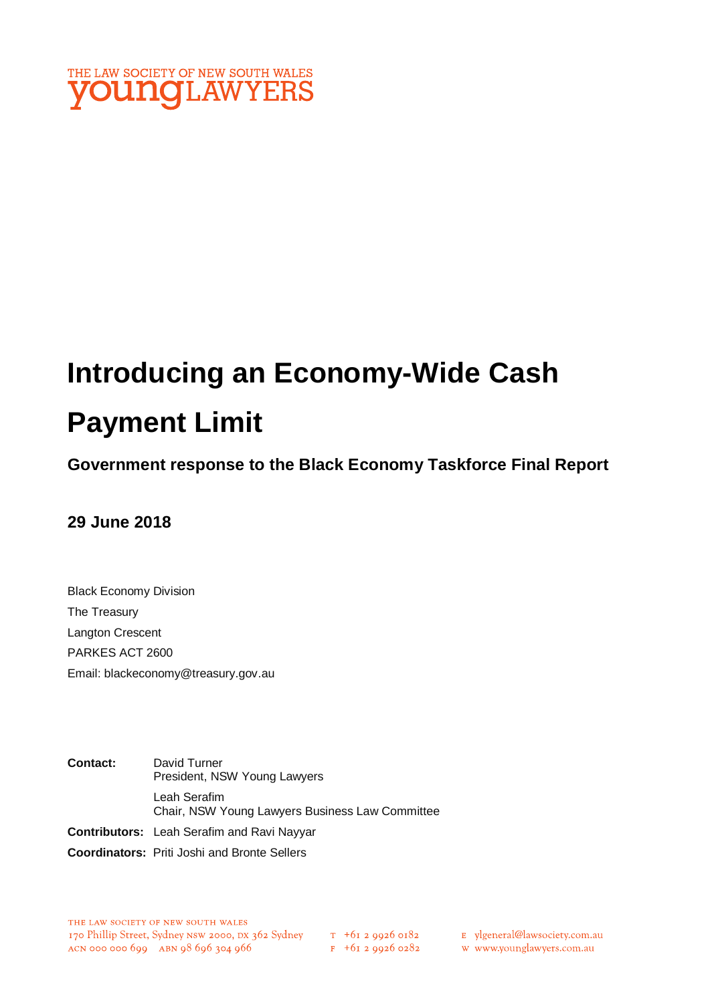

# **Introducing an Economy-Wide Cash Payment Limit**

# **Government response to the Black Economy Taskforce Final Report**

# **29 June 2018**

Black Economy Division The Treasury Langton Crescent PARKES ACT 2600 Email: blackeconomy@treasury.gov.au

**Contact:** David Turner President, NSW Young Lawyers Leah Serafim Chair, NSW Young Lawyers Business Law Committee **Contributors:** Leah Serafim and Ravi Nayyar

**Coordinators:** Priti Joshi and Bronte Sellers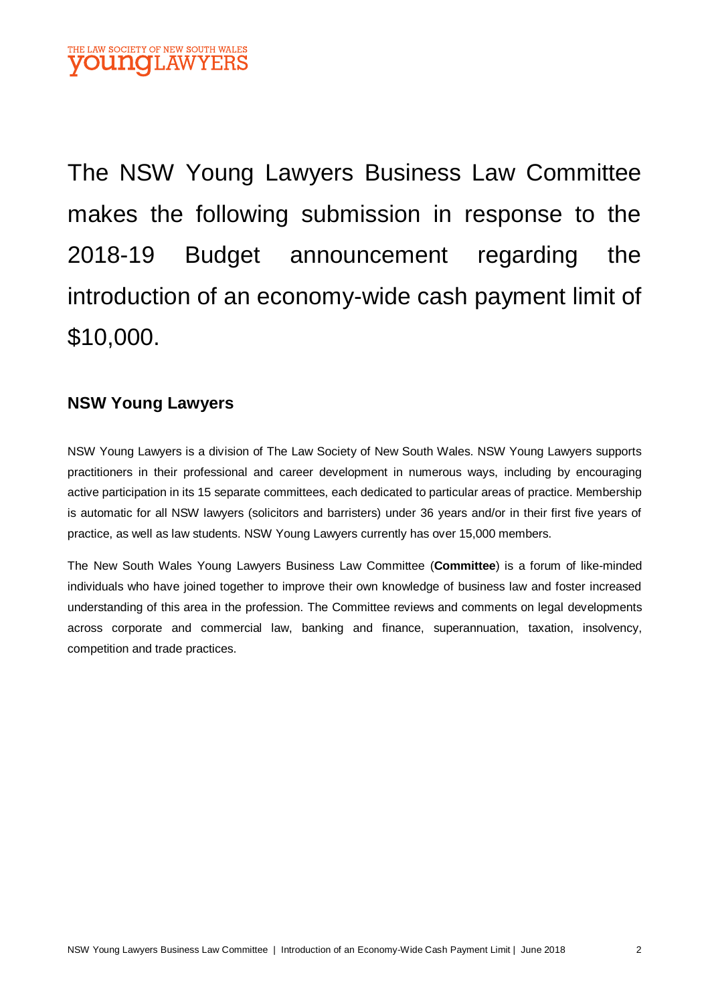The NSW Young Lawyers Business Law Committee makes the following submission in response to the 2018-19 Budget announcement regarding the introduction of an economy-wide cash payment limit of \$10,000.

## **NSW Young Lawyers**

NSW Young Lawyers is a division of The Law Society of New South Wales. NSW Young Lawyers supports practitioners in their professional and career development in numerous ways, including by encouraging active participation in its 15 separate committees, each dedicated to particular areas of practice. Membership is automatic for all NSW lawyers (solicitors and barristers) under 36 years and/or in their first five years of practice, as well as law students. NSW Young Lawyers currently has over 15,000 members.

The New South Wales Young Lawyers Business Law Committee (**Committee**) is a forum of like-minded individuals who have joined together to improve their own knowledge of business law and foster increased understanding of this area in the profession. The Committee reviews and comments on legal developments across corporate and commercial law, banking and finance, superannuation, taxation, insolvency, competition and trade practices.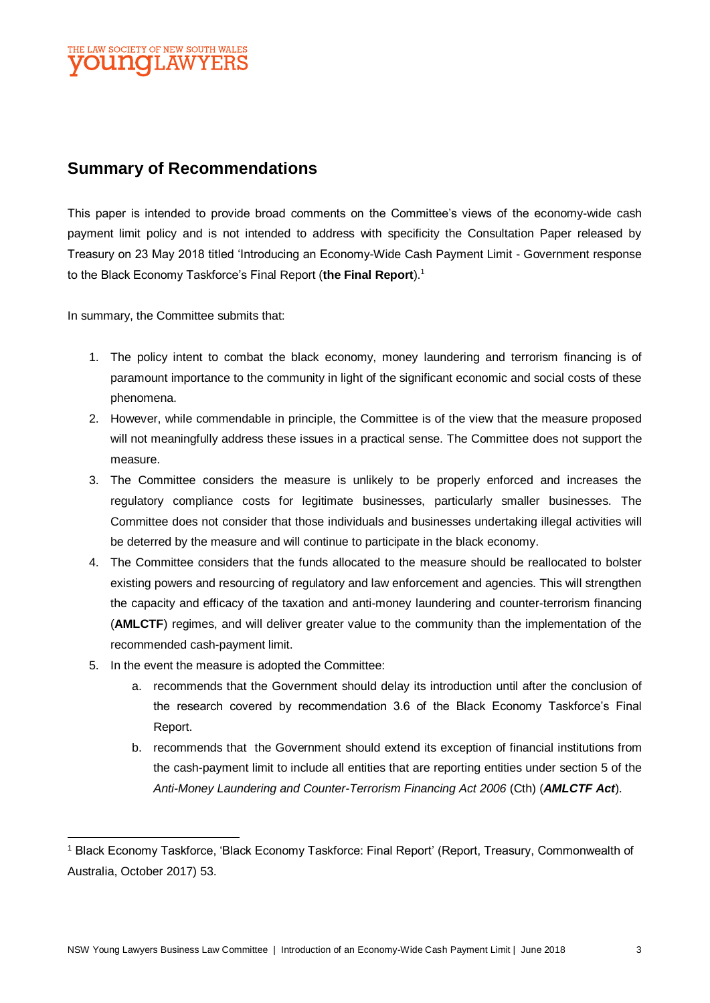

## **Summary of Recommendations**

This paper is intended to provide broad comments on the Committee's views of the economy-wide cash payment limit policy and is not intended to address with specificity the Consultation Paper released by Treasury on 23 May 2018 titled 'Introducing an Economy-Wide Cash Payment Limit - Government response to the Black Economy Taskforce's Final Report (**the Final Report**).<sup>1</sup>

In summary, the Committee submits that:

- 1. The policy intent to combat the black economy, money laundering and terrorism financing is of paramount importance to the community in light of the significant economic and social costs of these phenomena.
- 2. However, while commendable in principle, the Committee is of the view that the measure proposed will not meaningfully address these issues in a practical sense. The Committee does not support the measure.
- 3. The Committee considers the measure is unlikely to be properly enforced and increases the regulatory compliance costs for legitimate businesses, particularly smaller businesses. The Committee does not consider that those individuals and businesses undertaking illegal activities will be deterred by the measure and will continue to participate in the black economy.
- 4. The Committee considers that the funds allocated to the measure should be reallocated to bolster existing powers and resourcing of regulatory and law enforcement and agencies. This will strengthen the capacity and efficacy of the taxation and anti-money laundering and counter-terrorism financing (**AMLCTF**) regimes, and will deliver greater value to the community than the implementation of the recommended cash-payment limit.
- 5. In the event the measure is adopted the Committee:

 $\overline{a}$ 

- a. recommends that the Government should delay its introduction until after the conclusion of the research covered by recommendation 3.6 of the Black Economy Taskforce's Final Report.
- b. recommends that the Government should extend its exception of financial institutions from the cash-payment limit to include all entities that are reporting entities under section 5 of the *Anti-Money Laundering and Counter-Terrorism Financing Act 2006* (Cth) (*AMLCTF Act*).

<sup>1</sup> Black Economy Taskforce, 'Black Economy Taskforce: Final Report' (Report, Treasury, Commonwealth of Australia, October 2017) 53.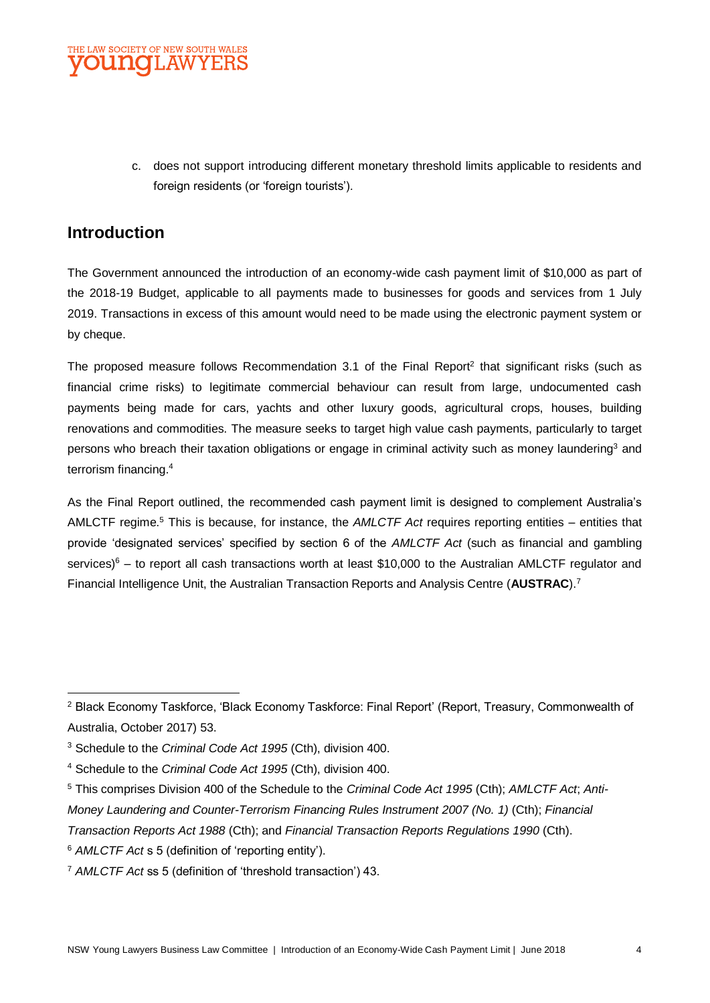

c. does not support introducing different monetary threshold limits applicable to residents and foreign residents (or 'foreign tourists').

## **Introduction**

The Government announced the introduction of an economy-wide cash payment limit of \$10,000 as part of the 2018-19 Budget, applicable to all payments made to businesses for goods and services from 1 July 2019. Transactions in excess of this amount would need to be made using the electronic payment system or by cheque.

The proposed measure follows Recommendation 3.1 of the Final Report<sup>2</sup> that significant risks (such as financial crime risks) to legitimate commercial behaviour can result from large, undocumented cash payments being made for cars, yachts and other luxury goods, agricultural crops, houses, building renovations and commodities. The measure seeks to target high value cash payments, particularly to target persons who breach their taxation obligations or engage in criminal activity such as money laundering<sup>3</sup> and terrorism financing.<sup>4</sup>

As the Final Report outlined, the recommended cash payment limit is designed to complement Australia's AMLCTF regime.<sup>5</sup> This is because, for instance, the *AMLCTF Act* requires reporting entities – entities that provide 'designated services' specified by section 6 of the *AMLCTF Act* (such as financial and gambling services) $6 -$  to report all cash transactions worth at least \$10,000 to the Australian AMLCTF regulator and Financial Intelligence Unit, the Australian Transaction Reports and Analysis Centre (**AUSTRAC**).<sup>7</sup>

- <sup>5</sup> This comprises Division 400 of the Schedule to the *Criminal Code Act 1995* (Cth); *AMLCTF Act*; *Anti-*
- *Money Laundering and Counter-Terrorism Financing Rules Instrument 2007 (No. 1)* (Cth); *Financial*
- *Transaction Reports Act 1988* (Cth); and *Financial Transaction Reports Regulations 1990* (Cth).

 $\overline{a}$ <sup>2</sup> Black Economy Taskforce, 'Black Economy Taskforce: Final Report' (Report, Treasury, Commonwealth of Australia, October 2017) 53.

<sup>3</sup> Schedule to the *Criminal Code Act 1995* (Cth), division 400.

<sup>4</sup> Schedule to the *Criminal Code Act 1995* (Cth), division 400.

<sup>6</sup> *AMLCTF Act* s 5 (definition of 'reporting entity').

<sup>7</sup> *AMLCTF Act* ss 5 (definition of 'threshold transaction') 43.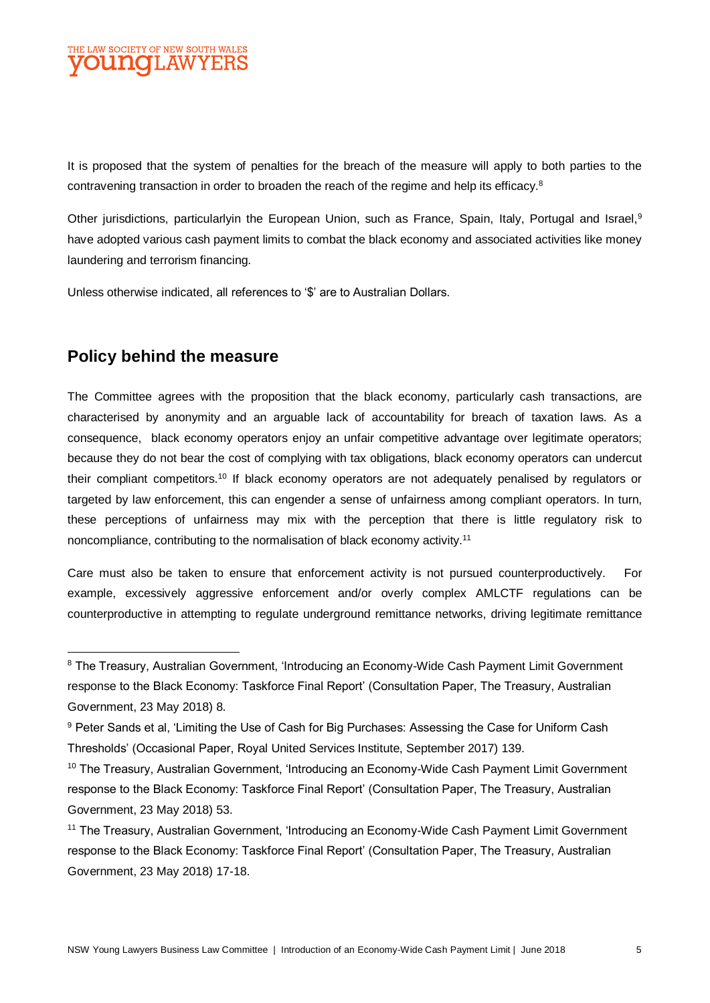

It is proposed that the system of penalties for the breach of the measure will apply to both parties to the contravening transaction in order to broaden the reach of the regime and help its efficacy.<sup>8</sup>

Other jurisdictions, particularlyin the European Union, such as France, Spain, Italy, Portugal and Israel,<sup>9</sup> have adopted various cash payment limits to combat the black economy and associated activities like money laundering and terrorism financing.

Unless otherwise indicated, all references to '\$' are to Australian Dollars.

## **Policy behind the measure**

 $\overline{a}$ 

The Committee agrees with the proposition that the black economy, particularly cash transactions, are characterised by anonymity and an arguable lack of accountability for breach of taxation laws. As a consequence, black economy operators enjoy an unfair competitive advantage over legitimate operators; because they do not bear the cost of complying with tax obligations, black economy operators can undercut their compliant competitors.<sup>10</sup> If black economy operators are not adequately penalised by regulators or targeted by law enforcement, this can engender a sense of unfairness among compliant operators. In turn, these perceptions of unfairness may mix with the perception that there is little regulatory risk to noncompliance, contributing to the normalisation of black economy activity.<sup>11</sup>

Care must also be taken to ensure that enforcement activity is not pursued counterproductively. For example, excessively aggressive enforcement and/or overly complex AMLCTF regulations can be counterproductive in attempting to regulate underground remittance networks, driving legitimate remittance

<sup>&</sup>lt;sup>8</sup> The Treasury, Australian Government, 'Introducing an Economy-Wide Cash Payment Limit Government response to the Black Economy: Taskforce Final Report' (Consultation Paper, The Treasury, Australian Government, 23 May 2018) 8.

<sup>9</sup> Peter Sands et al, 'Limiting the Use of Cash for Big Purchases: Assessing the Case for Uniform Cash Thresholds' (Occasional Paper, Royal United Services Institute, September 2017) 139.

<sup>10</sup> The Treasury, Australian Government, 'Introducing an Economy-Wide Cash Payment Limit Government response to the Black Economy: Taskforce Final Report' (Consultation Paper, The Treasury, Australian Government, 23 May 2018) 53.

<sup>11</sup> The Treasury, Australian Government, 'Introducing an Economy-Wide Cash Payment Limit Government response to the Black Economy: Taskforce Final Report' (Consultation Paper, The Treasury, Australian Government, 23 May 2018) 17-18.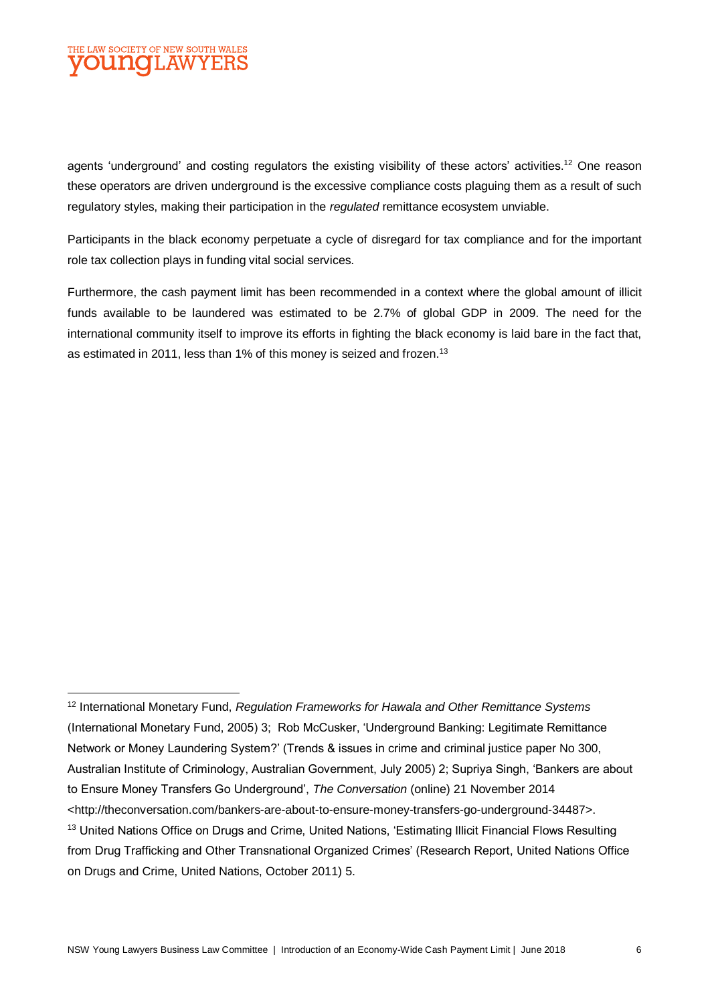

agents 'underground' and costing regulators the existing visibility of these actors' activities.<sup>12</sup> One reason these operators are driven underground is the excessive compliance costs plaguing them as a result of such regulatory styles, making their participation in the *regulated* remittance ecosystem unviable.

Participants in the black economy perpetuate a cycle of disregard for tax compliance and for the important role tax collection plays in funding vital social services.

Furthermore, the cash payment limit has been recommended in a context where the global amount of illicit funds available to be laundered was estimated to be 2.7% of global GDP in 2009. The need for the international community itself to improve its efforts in fighting the black economy is laid bare in the fact that, as estimated in 2011, less than 1% of this money is seized and frozen.<sup>13</sup>

 $\overline{a}$ <sup>12</sup> International Monetary Fund, *Regulation Frameworks for Hawala and Other Remittance Systems* (International Monetary Fund, 2005) 3; Rob McCusker, 'Underground Banking: Legitimate Remittance Network or Money Laundering System?' (Trends & issues in crime and criminal justice paper No 300, Australian Institute of Criminology, Australian Government, July 2005) 2; Supriya Singh, 'Bankers are about to Ensure Money Transfers Go Underground', *The Conversation* (online) 21 November 2014 <http://theconversation.com/bankers-are-about-to-ensure-money-transfers-go-underground-34487>. <sup>13</sup> United Nations Office on Drugs and Crime, United Nations, 'Estimating Illicit Financial Flows Resulting from Drug Trafficking and Other Transnational Organized Crimes' (Research Report, United Nations Office on Drugs and Crime, United Nations, October 2011) 5.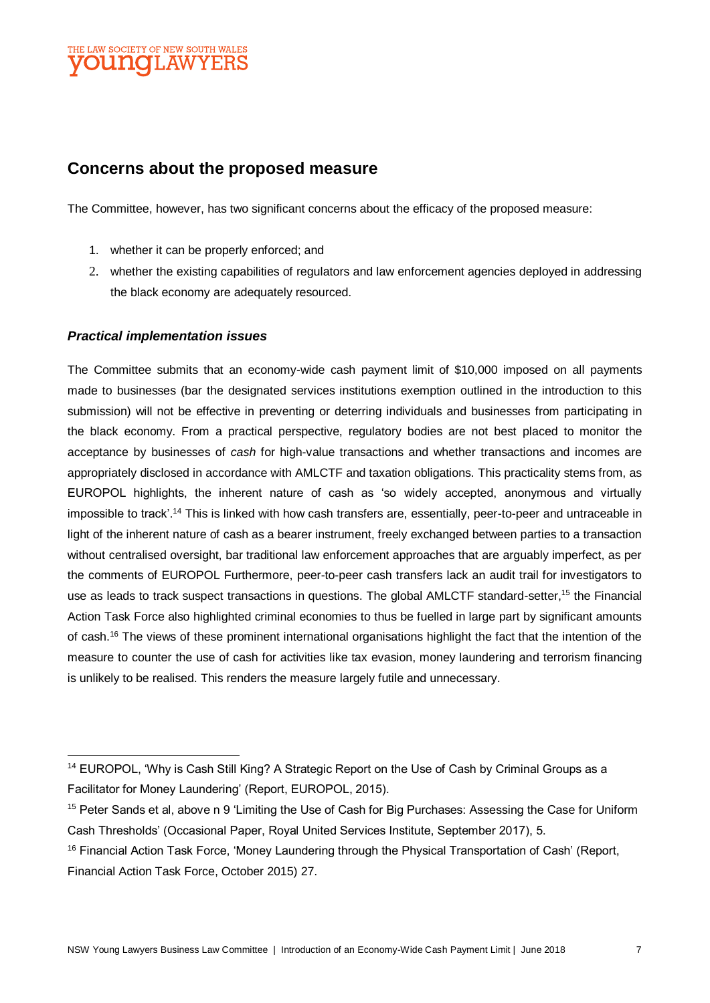

## **Concerns about the proposed measure**

The Committee, however, has two significant concerns about the efficacy of the proposed measure:

- 1. whether it can be properly enforced; and
- 2. whether the existing capabilities of regulators and law enforcement agencies deployed in addressing the black economy are adequately resourced.

#### *Practical implementation issues*

 $\overline{a}$ 

The Committee submits that an economy-wide cash payment limit of \$10,000 imposed on all payments made to businesses (bar the designated services institutions exemption outlined in the introduction to this submission) will not be effective in preventing or deterring individuals and businesses from participating in the black economy. From a practical perspective, regulatory bodies are not best placed to monitor the acceptance by businesses of *cash* for high-value transactions and whether transactions and incomes are appropriately disclosed in accordance with AMLCTF and taxation obligations. This practicality stems from, as EUROPOL highlights, the inherent nature of cash as 'so widely accepted, anonymous and virtually impossible to track'.<sup>14</sup> This is linked with how cash transfers are, essentially, peer-to-peer and untraceable in light of the inherent nature of cash as a bearer instrument, freely exchanged between parties to a transaction without centralised oversight, bar traditional law enforcement approaches that are arguably imperfect, as per the comments of EUROPOL Furthermore, peer-to-peer cash transfers lack an audit trail for investigators to use as leads to track suspect transactions in questions. The global AMLCTF standard-setter,<sup>15</sup> the Financial Action Task Force also highlighted criminal economies to thus be fuelled in large part by significant amounts of cash.<sup>16</sup> The views of these prominent international organisations highlight the fact that the intention of the measure to counter the use of cash for activities like tax evasion, money laundering and terrorism financing is unlikely to be realised. This renders the measure largely futile and unnecessary.

<sup>&</sup>lt;sup>14</sup> EUROPOL, 'Why is Cash Still King? A Strategic Report on the Use of Cash by Criminal Groups as a Facilitator for Money Laundering' (Report, EUROPOL, 2015).

<sup>15</sup> Peter Sands et al, above n 9 'Limiting the Use of Cash for Big Purchases: Assessing the Case for Uniform Cash Thresholds' (Occasional Paper, Royal United Services Institute, September 2017), 5.

<sup>&</sup>lt;sup>16</sup> Financial Action Task Force, 'Money Laundering through the Physical Transportation of Cash' (Report, Financial Action Task Force, October 2015) 27.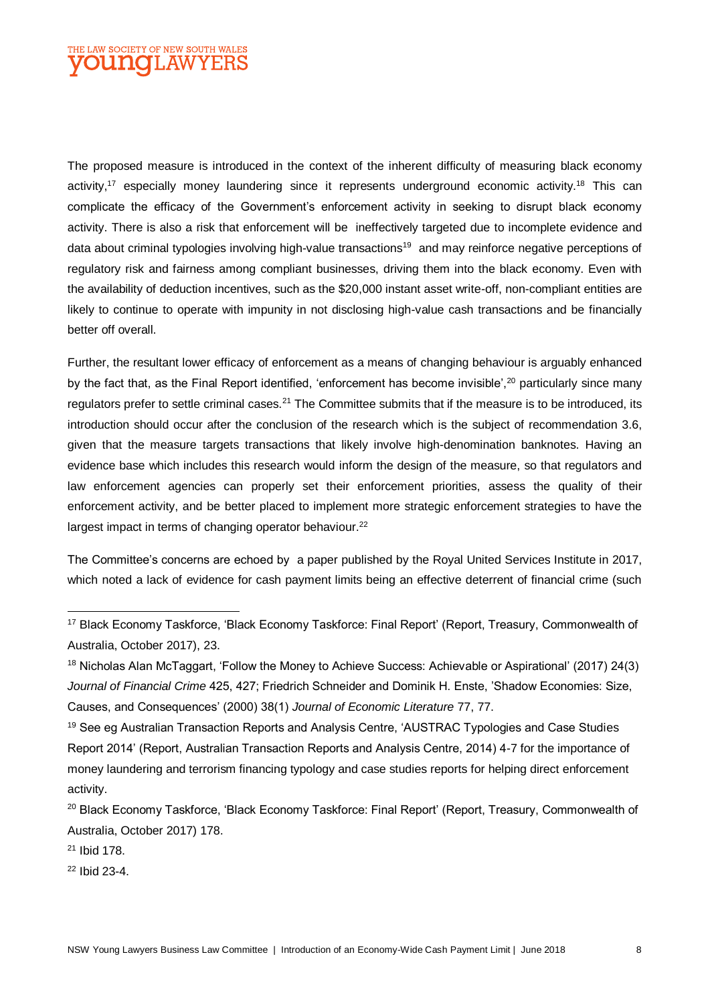### THE LAW SOCIETY OF NEW SOUTH WALES **OUNCLAWYERS**

The proposed measure is introduced in the context of the inherent difficulty of measuring black economy activity,<sup>17</sup> especially money laundering since it represents underground economic activity.<sup>18</sup> This can complicate the efficacy of the Government's enforcement activity in seeking to disrupt black economy activity. There is also a risk that enforcement will be ineffectively targeted due to incomplete evidence and data about criminal typologies involving high-value transactions<sup>19</sup> and may reinforce negative perceptions of regulatory risk and fairness among compliant businesses, driving them into the black economy. Even with the availability of deduction incentives, such as the \$20,000 instant asset write-off, non-compliant entities are likely to continue to operate with impunity in not disclosing high-value cash transactions and be financially better off overall.

Further, the resultant lower efficacy of enforcement as a means of changing behaviour is arguably enhanced by the fact that, as the Final Report identified, 'enforcement has become invisible',<sup>20</sup> particularly since many regulators prefer to settle criminal cases.<sup>21</sup> The Committee submits that if the measure is to be introduced, its introduction should occur after the conclusion of the research which is the subject of recommendation 3.6, given that the measure targets transactions that likely involve high-denomination banknotes. Having an evidence base which includes this research would inform the design of the measure, so that regulators and law enforcement agencies can properly set their enforcement priorities, assess the quality of their enforcement activity, and be better placed to implement more strategic enforcement strategies to have the largest impact in terms of changing operator behaviour.<sup>22</sup>

The Committee's concerns are echoed by a paper published by the Royal United Services Institute in 2017, which noted a lack of evidence for cash payment limits being an effective deterrent of financial crime (such

<sup>21</sup> Ibid 178.

 $\overline{a}$ 

<sup>22</sup> Ibid 23-4.

<sup>17</sup> Black Economy Taskforce, 'Black Economy Taskforce: Final Report' (Report, Treasury, Commonwealth of Australia, October 2017), 23.

<sup>18</sup> Nicholas Alan McTaggart, 'Follow the Money to Achieve Success: Achievable or Aspirational' (2017) 24(3) *Journal of Financial Crime* 425, 427; Friedrich Schneider and Dominik H. Enste, 'Shadow Economies: Size, Causes, and Consequences' (2000) 38(1) *Journal of Economic Literature* 77, 77.

<sup>&</sup>lt;sup>19</sup> See eg Australian Transaction Reports and Analysis Centre, 'AUSTRAC Typologies and Case Studies Report 2014' (Report, Australian Transaction Reports and Analysis Centre, 2014) 4-7 for the importance of money laundering and terrorism financing typology and case studies reports for helping direct enforcement activity.

<sup>&</sup>lt;sup>20</sup> Black Economy Taskforce, 'Black Economy Taskforce: Final Report' (Report, Treasury, Commonwealth of Australia, October 2017) 178.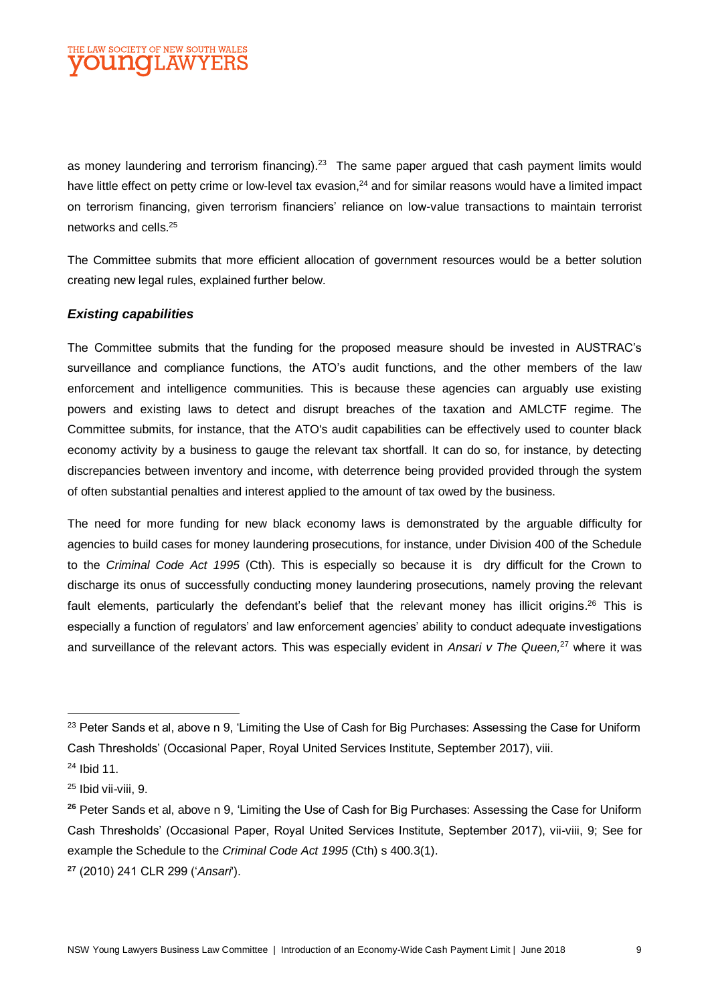as money laundering and terrorism financing).<sup>23</sup> The same paper argued that cash payment limits would have little effect on petty crime or low-level tax evasion,<sup>24</sup> and for similar reasons would have a limited impact on terrorism financing, given terrorism financiers' reliance on low-value transactions to maintain terrorist networks and cells.<sup>25</sup>

The Committee submits that more efficient allocation of government resources would be a better solution creating new legal rules, explained further below.

#### *Existing capabilities*

The Committee submits that the funding for the proposed measure should be invested in AUSTRAC's surveillance and compliance functions, the ATO's audit functions, and the other members of the law enforcement and intelligence communities. This is because these agencies can arguably use existing powers and existing laws to detect and disrupt breaches of the taxation and AMLCTF regime. The Committee submits, for instance, that the ATO's audit capabilities can be effectively used to counter black economy activity by a business to gauge the relevant tax shortfall. It can do so, for instance, by detecting discrepancies between inventory and income, with deterrence being provided provided through the system of often substantial penalties and interest applied to the amount of tax owed by the business.

The need for more funding for new black economy laws is demonstrated by the arguable difficulty for agencies to build cases for money laundering prosecutions, for instance, under Division 400 of the Schedule to the *Criminal Code Act 1995* (Cth). This is especially so because it is dry difficult for the Crown to discharge its onus of successfully conducting money laundering prosecutions, namely proving the relevant fault elements, particularly the defendant's belief that the relevant money has illicit origins.<sup>26</sup> This is especially a function of regulators' and law enforcement agencies' ability to conduct adequate investigations and surveillance of the relevant actors. This was especially evident in *Ansari v The Queen,*<sup>27</sup> where it was

 $\overline{a}$ 

<sup>&</sup>lt;sup>23</sup> Peter Sands et al, above n 9, 'Limiting the Use of Cash for Big Purchases: Assessing the Case for Uniform Cash Thresholds' (Occasional Paper, Royal United Services Institute, September 2017), viii.

<sup>24</sup> Ibid 11.

<sup>25</sup> Ibid vii-viii, 9.

**<sup>26</sup>** Peter Sands et al, above n 9, 'Limiting the Use of Cash for Big Purchases: Assessing the Case for Uniform Cash Thresholds' (Occasional Paper, Royal United Services Institute, September 2017), vii-viii, 9; See for example the Schedule to the *Criminal Code Act 1995* (Cth) s 400.3(1).

**<sup>27</sup>** (2010) 241 CLR 299 ('*Ansari*').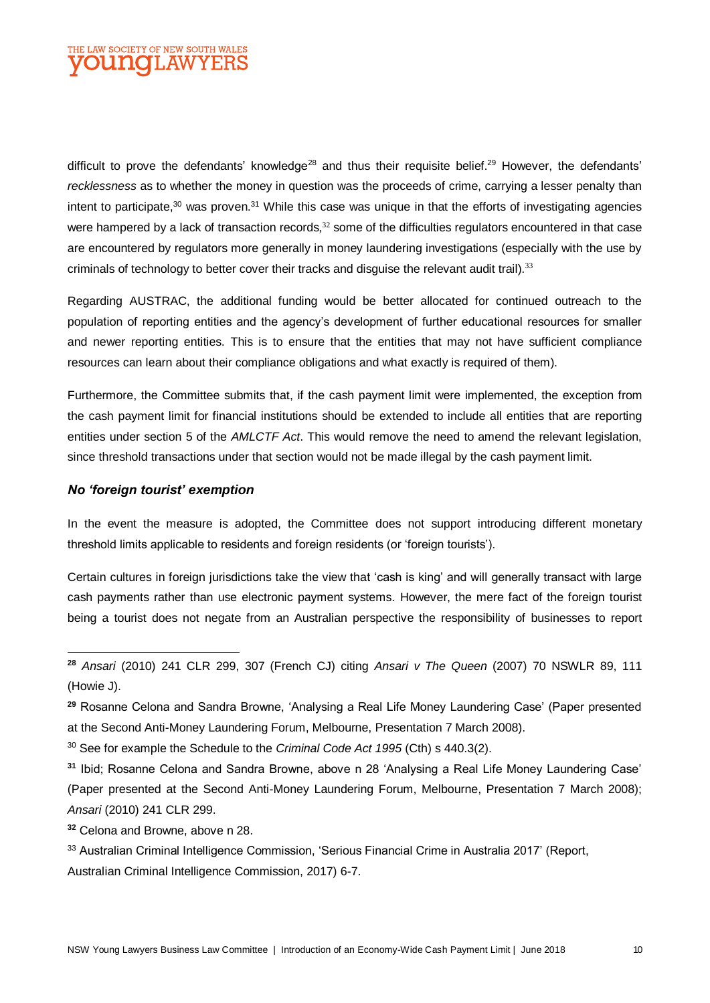![](_page_9_Picture_0.jpeg)

difficult to prove the defendants' knowledge<sup>28</sup> and thus their requisite belief.<sup>29</sup> However, the defendants' *recklessness* as to whether the money in question was the proceeds of crime, carrying a lesser penalty than intent to participate.<sup>30</sup> was proven.<sup>31</sup> While this case was unique in that the efforts of investigating agencies were hampered by a lack of transaction records,<sup>32</sup> some of the difficulties regulators encountered in that case are encountered by regulators more generally in money laundering investigations (especially with the use by criminals of technology to better cover their tracks and disquise the relevant audit trail).<sup>33</sup>

Regarding AUSTRAC, the additional funding would be better allocated for continued outreach to the population of reporting entities and the agency's development of further educational resources for smaller and newer reporting entities. This is to ensure that the entities that may not have sufficient compliance resources can learn about their compliance obligations and what exactly is required of them).

Furthermore, the Committee submits that, if the cash payment limit were implemented, the exception from the cash payment limit for financial institutions should be extended to include all entities that are reporting entities under section 5 of the *AMLCTF Act*. This would remove the need to amend the relevant legislation, since threshold transactions under that section would not be made illegal by the cash payment limit.

#### *No 'foreign tourist' exemption*

 $\overline{a}$ 

In the event the measure is adopted, the Committee does not support introducing different monetary threshold limits applicable to residents and foreign residents (or 'foreign tourists').

Certain cultures in foreign jurisdictions take the view that 'cash is king' and will generally transact with large cash payments rather than use electronic payment systems. However, the mere fact of the foreign tourist being a tourist does not negate from an Australian perspective the responsibility of businesses to report

**<sup>32</sup>** Celona and Browne, above n 28.

Australian Criminal Intelligence Commission, 2017) 6-7.

**<sup>28</sup>** *Ansari* (2010) 241 CLR 299, 307 (French CJ) citing *Ansari v The Queen* (2007) 70 NSWLR 89, 111 (Howie J).

**<sup>29</sup>** Rosanne Celona and Sandra Browne, 'Analysing a Real Life Money Laundering Case' (Paper presented at the Second Anti-Money Laundering Forum, Melbourne, Presentation 7 March 2008).

<sup>30</sup> See for example the Schedule to the *Criminal Code Act 1995* (Cth) s 440.3(2).

**<sup>31</sup>** Ibid; Rosanne Celona and Sandra Browne, above n 28 'Analysing a Real Life Money Laundering Case' (Paper presented at the Second Anti-Money Laundering Forum, Melbourne, Presentation 7 March 2008); *Ansari* (2010) 241 CLR 299.

<sup>33</sup> Australian Criminal Intelligence Commission, 'Serious Financial Crime in Australia 2017' (Report,